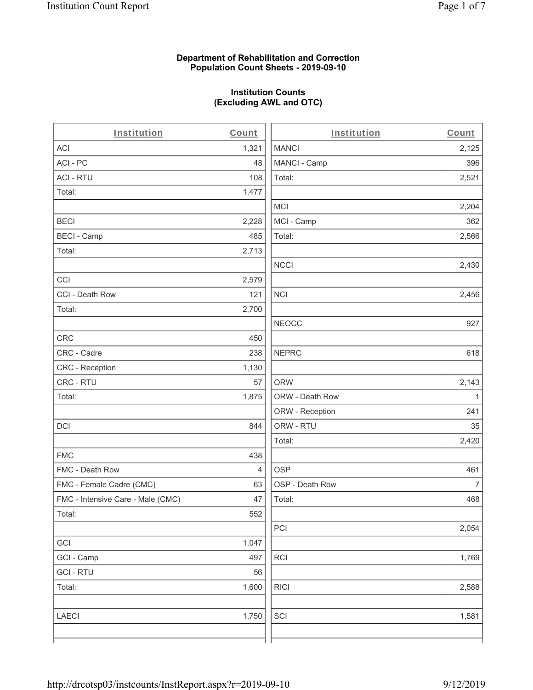#### **Department of Rehabilitation and Correction Population Count Sheets - 2019-09-10**

# **Institution Counts (Excluding AWL and OTC)**

| Institution                       | Count | Institution     | Count          |
|-----------------------------------|-------|-----------------|----------------|
| <b>ACI</b>                        | 1,321 | <b>MANCI</b>    | 2,125          |
| ACI - PC                          | 48    | MANCI - Camp    | 396            |
| <b>ACI - RTU</b>                  | 108   | Total:          | 2,521          |
| Total:                            | 1,477 |                 |                |
|                                   |       | <b>MCI</b>      | 2,204          |
| <b>BECI</b>                       | 2,228 | MCI - Camp      | 362            |
| <b>BECI - Camp</b>                | 485   | Total:          | 2,566          |
| Total:                            | 2,713 |                 |                |
|                                   |       | <b>NCCI</b>     | 2,430          |
| CCI                               | 2,579 |                 |                |
| CCI - Death Row                   | 121   | NCI             | 2,456          |
| Total:                            | 2,700 |                 |                |
|                                   |       | <b>NEOCC</b>    | 927            |
| <b>CRC</b>                        | 450   |                 |                |
| CRC - Cadre                       | 238   | <b>NEPRC</b>    | 618            |
| CRC - Reception                   | 1,130 |                 |                |
| CRC - RTU                         | 57    | <b>ORW</b>      | 2,143          |
| Total:                            | 1,875 | ORW - Death Row | 1              |
|                                   |       | ORW - Reception | 241            |
| <b>DCI</b>                        | 844   | ORW - RTU       | 35             |
|                                   |       | Total:          | 2,420          |
| <b>FMC</b>                        | 438   |                 |                |
| FMC - Death Row                   | 4     | <b>OSP</b>      | 461            |
| FMC - Female Cadre (CMC)          | 63    | OSP - Death Row | $\overline{7}$ |
| FMC - Intensive Care - Male (CMC) | 47    | Total:          | 468            |
| Total:                            | 552   |                 |                |
|                                   |       | PCI             | 2,054          |
| GCI                               | 1,047 |                 |                |
| GCI - Camp                        | 497   | RCI             | 1,769          |
| <b>GCI-RTU</b>                    | 56    |                 |                |
| Total:                            | 1,600 | <b>RICI</b>     | 2,588          |
| <b>LAECI</b>                      | 1,750 | SCI             | 1,581          |
|                                   |       |                 |                |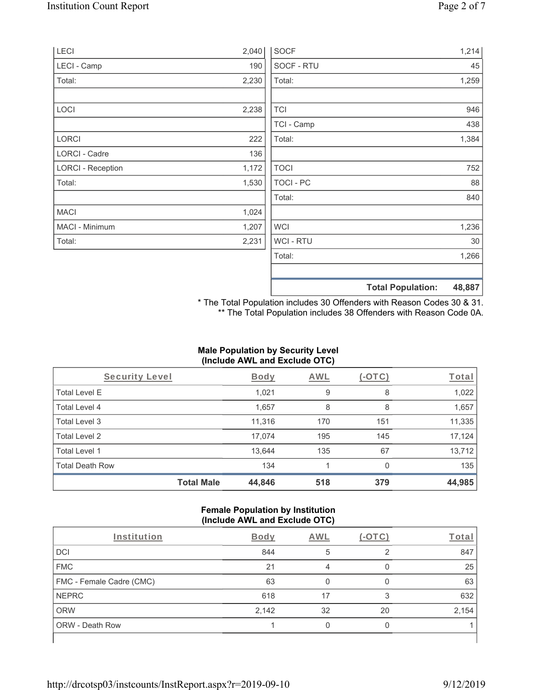| <b>LECI</b>              | 2,040 | <b>SOCF</b>    | 1,214                              |
|--------------------------|-------|----------------|------------------------------------|
| LECI - Camp              | 190   | SOCF - RTU     | 45                                 |
| Total:                   | 2,230 | Total:         | 1,259                              |
|                          |       |                |                                    |
| LOCI                     | 2,238 | <b>TCI</b>     | 946                                |
|                          |       | TCI - Camp     | 438                                |
| <b>LORCI</b>             | 222   | Total:         | 1,384                              |
| LORCI - Cadre            | 136   |                |                                    |
| <b>LORCI - Reception</b> | 1,172 | <b>TOCI</b>    | 752                                |
| Total:                   | 1,530 | TOCI - PC      | 88                                 |
|                          |       | Total:         | 840                                |
| <b>MACI</b>              | 1,024 |                |                                    |
| MACI - Minimum           | 1,207 | <b>WCI</b>     | 1,236                              |
| Total:                   | 2,231 | <b>WCI-RTU</b> | 30                                 |
|                          |       | Total:         | 1,266                              |
|                          |       |                |                                    |
|                          |       |                | 48,887<br><b>Total Population:</b> |

\* The Total Population includes 30 Offenders with Reason Codes 30 & 31. \*\* The Total Population includes 38 Offenders with Reason Code 0A.

# **Male Population by Security Level (Include AWL and Exclude OTC)**

| Security Level         | <b>Body</b>                 | AWL | $(-\text{OTC})$ | Total  |
|------------------------|-----------------------------|-----|-----------------|--------|
| <b>Total Level E</b>   | 1,021                       | 9   | 8               | 1,022  |
| Total Level 4          | 1,657                       | 8   | 8               | 1,657  |
| Total Level 3          | 11,316                      | 170 | 151             | 11,335 |
| Total Level 2          | 17,074                      | 195 | 145             | 17,124 |
| Total Level 1          | 13,644                      | 135 | 67              | 13,712 |
| <b>Total Death Row</b> | 134                         |     | $\Omega$        | 135    |
|                        | <b>Total Male</b><br>44,846 | 518 | 379             | 44,985 |

#### **Female Population by Institution (Include AWL and Exclude OTC)**

|                          |             | . . |        |       |
|--------------------------|-------------|-----|--------|-------|
| Institution              | <b>Body</b> | AWL | (-OTC) | Total |
| <b>DCI</b>               | 844         | 5   | ⌒      | 847   |
| <b>FMC</b>               | 21          |     |        | 25    |
| FMC - Female Cadre (CMC) | 63          |     |        | 63    |
| <b>NEPRC</b>             | 618         | 17  | 3      | 632   |
| <b>ORW</b>               | 2,142       | 32  | 20     | 2,154 |
| <b>ORW - Death Row</b>   |             |     |        |       |
|                          |             |     |        |       |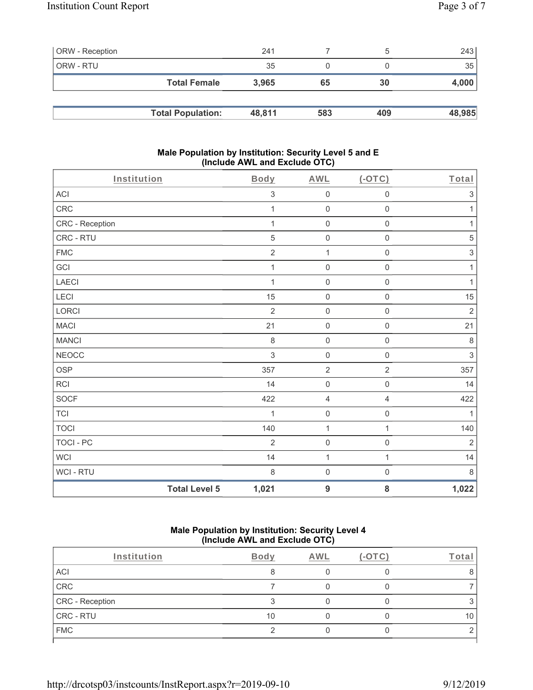| <b>ORW</b> - Reception |                          | 241    |     | $\mathcal{D}$ | 243    |
|------------------------|--------------------------|--------|-----|---------------|--------|
| ORW - RTU              |                          | 35     |     |               | 35     |
|                        | <b>Total Female</b>      | 3.965  | 65  | 30            | 4,000  |
|                        |                          |        |     |               |        |
|                        | <b>Total Population:</b> | 48,811 | 583 | 409           | 48,985 |

#### **Male Population by Institution: Security Level 5 and E (Include AWL and Exclude OTC)**

| Institution     |                      | Body           | <b>AWL</b>          | (OTC)               | Total                     |
|-----------------|----------------------|----------------|---------------------|---------------------|---------------------------|
| ACI             |                      | $\sqrt{3}$     | $\mathsf{O}\xspace$ | $\mathbf 0$         | $\sqrt{3}$                |
| CRC             |                      | 1              | $\boldsymbol{0}$    | $\mathsf{O}\xspace$ | 1                         |
| CRC - Reception |                      | $\mathbf{1}$   | $\mathsf{O}\xspace$ | $\mathbf 0$         | $\mathbf{1}$              |
| CRC - RTU       |                      | $\sqrt{5}$     | $\mathsf{O}\xspace$ | $\mathbf 0$         | $\,$ 5 $\,$               |
| <b>FMC</b>      |                      | $\sqrt{2}$     | $\mathbf{1}$        | $\mathsf{O}\xspace$ | $\ensuremath{\mathsf{3}}$ |
| GCI             |                      | $\mathbf{1}$   | $\boldsymbol{0}$    | $\mathbf 0$         | $\mathbf{1}$              |
| LAECI           |                      | $\mathbf 1$    | $\mathsf{O}\xspace$ | $\mathbf 0$         | $\mathbf{1}$              |
| LECI            |                      | 15             | $\mathsf{O}\xspace$ | $\mathsf{O}\xspace$ | 15                        |
| LORCI           |                      | $\overline{2}$ | $\boldsymbol{0}$    | $\mathsf{O}\xspace$ | $\sqrt{2}$                |
| <b>MACI</b>     |                      | 21             | $\mathsf{O}\xspace$ | $\mathbf 0$         | 21                        |
| <b>MANCI</b>    |                      | $\,8\,$        | $\mathsf{O}\xspace$ | $\mathsf{O}\xspace$ | $\,8\,$                   |
| <b>NEOCC</b>    |                      | $\mathfrak{S}$ | $\boldsymbol{0}$    | $\mathbf 0$         | $\sqrt{3}$                |
| OSP             |                      | 357            | $\overline{2}$      | $\overline{2}$      | 357                       |
| RCI             |                      | 14             | $\boldsymbol{0}$    | $\mathsf{O}\xspace$ | 14                        |
| SOCF            |                      | 422            | 4                   | 4                   | 422                       |
| <b>TCI</b>      |                      | $\mathbf{1}$   | $\mathsf{O}\xspace$ | $\mathbf 0$         | $\mathbf{1}$              |
| <b>TOCI</b>     |                      | 140            | 1                   | $\mathbf{1}$        | 140                       |
| TOCI - PC       |                      | $\overline{2}$ | $\boldsymbol{0}$    | $\mathsf 0$         | $\overline{2}$            |
| <b>WCI</b>      |                      | 14             | $\mathbf{1}$        | $\mathbf{1}$        | 14                        |
| WCI - RTU       |                      | $\,8\,$        | $\mathsf{O}\xspace$ | $\mathsf 0$         | $\,8\,$                   |
|                 | <b>Total Level 5</b> | 1,021          | 9                   | 8                   | 1,022                     |

#### **Male Population by Institution: Security Level 4 (Include AWL and Exclude OTC)**

| Institution     | Body    | AWL | $'$ -OTC) | Total |
|-----------------|---------|-----|-----------|-------|
| ACI             | $\circ$ |     |           |       |
| CRC             |         |     |           |       |
| CRC - Reception |         |     |           |       |
| CRC - RTU       | 10      |     |           | 10    |
| <b>FMC</b>      |         |     |           |       |
|                 |         |     |           |       |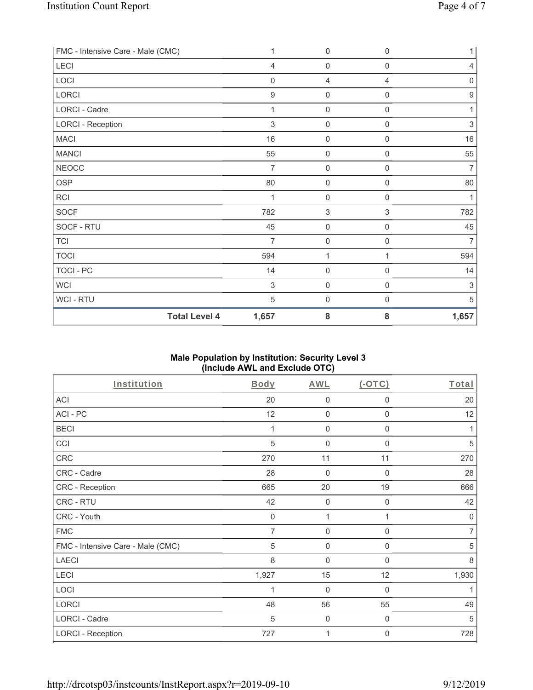| FMC - Intensive Care - Male (CMC) | 1                | $\mathbf 0$         | $\mathbf 0$ | 1                |
|-----------------------------------|------------------|---------------------|-------------|------------------|
| LECI                              | $\overline{4}$   | $\mathbf 0$         | 0           | $\overline{4}$   |
| LOCI                              | $\mathbf 0$      | 4                   | 4           | $\mathbf 0$      |
| LORCI                             | $\boldsymbol{9}$ | $\mathbf 0$         | 0           | $\boldsymbol{9}$ |
| LORCI - Cadre                     | 1                | $\mathbf 0$         | $\mathsf 0$ | 1                |
| <b>LORCI - Reception</b>          | $\sqrt{3}$       | $\mathbf 0$         | 0           | $\sqrt{3}$       |
| <b>MACI</b>                       | 16               | $\mathbf 0$         | $\mathbf 0$ | 16               |
| <b>MANCI</b>                      | 55               | $\mathbf 0$         | $\mathbf 0$ | 55               |
| <b>NEOCC</b>                      | $\overline{7}$   | $\mathbf 0$         | 0           | $\overline{7}$   |
| <b>OSP</b>                        | 80               | $\mathbf 0$         | 0           | 80               |
| <b>RCI</b>                        |                  | $\mathbf 0$         | 0           | 1                |
| <b>SOCF</b>                       | 782              | $\,$ 3 $\,$         | 3           | 782              |
| SOCF - RTU                        | 45               | $\mathsf{O}\xspace$ | $\mathbf 0$ | 45               |
| <b>TCI</b>                        | $\overline{7}$   | $\mathbf 0$         | $\mathbf 0$ | $\overline{7}$   |
| <b>TOCI</b>                       | 594              | 1                   | 1           | 594              |
| TOCI - PC                         | 14               | $\mathbf 0$         | $\mathsf 0$ | 14               |
| <b>WCI</b>                        | $\sqrt{3}$       | $\mathbf 0$         | 0           | $\,$ 3 $\,$      |
| WCI-RTU                           | 5                | $\mathbf 0$         | 0           | 5                |
| <b>Total Level 4</b>              | 1,657            | 8                   | 8           | 1,657            |

## **Male Population by Institution: Security Level 3 (Include AWL and Exclude OTC)**

| Institution                       | Body        | AWL              | $(-OTC)$    | Total          |
|-----------------------------------|-------------|------------------|-------------|----------------|
| ACI                               | 20          | $\boldsymbol{0}$ | 0           | 20             |
| ACI-PC                            | 12          | $\mathbf 0$      | 0           | 12             |
| <b>BECI</b>                       | 1           | 0                | $\mathbf 0$ | 1              |
| CCI                               | 5           | $\boldsymbol{0}$ | $\mathbf 0$ | 5              |
| CRC                               | 270         | 11               | 11          | 270            |
| CRC - Cadre                       | 28          | $\boldsymbol{0}$ | 0           | 28             |
| <b>CRC - Reception</b>            | 665         | 20               | 19          | 666            |
| CRC - RTU                         | 42          | 0                | 0           | 42             |
| CRC - Youth                       | $\mathbf 0$ | 1                | 1           | $\mathbf 0$    |
| <b>FMC</b>                        | 7           | $\boldsymbol{0}$ | 0           | $\overline{7}$ |
| FMC - Intensive Care - Male (CMC) | 5           | $\mathbf 0$      | 0           | 5              |
| <b>LAECI</b>                      | 8           | $\boldsymbol{0}$ | 0           | 8              |
| LECI                              | 1,927       | 15               | 12          | 1,930          |
| LOCI                              | 1           | $\boldsymbol{0}$ | $\mathbf 0$ | 1              |
| LORCI                             | 48          | 56               | 55          | 49             |
| LORCI - Cadre                     | 5           | $\boldsymbol{0}$ | 0           | 5              |
| <b>LORCI - Reception</b>          | 727         | 1                | 0           | 728            |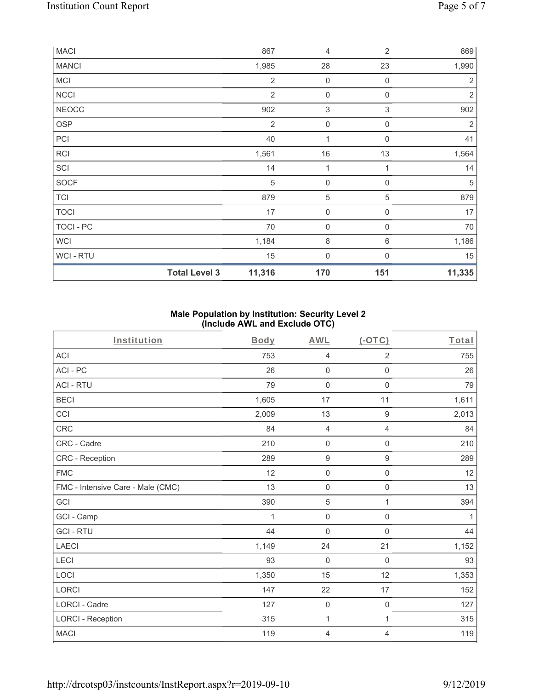| <b>MACI</b>    |                      | 867            | 4                         | $\overline{2}$            | 869            |
|----------------|----------------------|----------------|---------------------------|---------------------------|----------------|
| <b>MANCI</b>   |                      | 1,985          | 28                        | 23                        | 1,990          |
| <b>MCI</b>     |                      | $\overline{2}$ | $\mathbf 0$               | $\mathbf 0$               | $\overline{2}$ |
| <b>NCCI</b>    |                      | $\overline{2}$ | $\mathsf{O}\xspace$       | $\mathbf 0$               | $\sqrt{2}$     |
| <b>NEOCC</b>   |                      | 902            | $\ensuremath{\mathsf{3}}$ | $\ensuremath{\mathsf{3}}$ | 902            |
| <b>OSP</b>     |                      | $\overline{2}$ | $\boldsymbol{0}$          | $\mathbf 0$               | $\overline{2}$ |
| PCI            |                      | 40             | 1                         | $\mathbf 0$               | 41             |
| <b>RCI</b>     |                      | 1,561          | $16\,$                    | 13                        | 1,564          |
| SCI            |                      | 14             | 1                         | 1                         | 14             |
| SOCF           |                      | 5              | $\boldsymbol{0}$          | $\mathbf 0$               | 5              |
| <b>TCI</b>     |                      | 879            | $\sqrt{5}$                | 5                         | 879            |
| <b>TOCI</b>    |                      | 17             | $\mathsf{O}\xspace$       | $\mathbf 0$               | 17             |
| TOCI - PC      |                      | 70             | $\mathsf{O}\xspace$       | 0                         | 70             |
| <b>WCI</b>     |                      | 1,184          | $\,8\,$                   | $\,6\,$                   | 1,186          |
| <b>WCI-RTU</b> |                      | 15             | $\boldsymbol{0}$          | $\Omega$                  | 15             |
|                | <b>Total Level 3</b> | 11,316         | 170                       | 151                       | 11,335         |

## **Male Population by Institution: Security Level 2 (Include AWL and Exclude OTC)**

| Institution                       | <b>Body</b> | <b>AWL</b>          | (OTC)               | Total |
|-----------------------------------|-------------|---------------------|---------------------|-------|
| <b>ACI</b>                        | 753         | $\overline{4}$      | $\overline{2}$      | 755   |
| ACI-PC                            | 26          | $\mathbf 0$         | $\mathsf 0$         | 26    |
| <b>ACI - RTU</b>                  | 79          | $\boldsymbol{0}$    | $\boldsymbol{0}$    | 79    |
| <b>BECI</b>                       | 1,605       | 17                  | 11                  | 1,611 |
| CCI                               | 2,009       | 13                  | $\boldsymbol{9}$    | 2,013 |
| CRC                               | 84          | $\overline{4}$      | $\overline{4}$      | 84    |
| CRC - Cadre                       | 210         | $\mathsf 0$         | $\boldsymbol{0}$    | 210   |
| CRC - Reception                   | 289         | $\boldsymbol{9}$    | $\boldsymbol{9}$    | 289   |
| <b>FMC</b>                        | 12          | $\mathbf 0$         | $\mathsf{O}\xspace$ | 12    |
| FMC - Intensive Care - Male (CMC) | 13          | $\mathsf{O}\xspace$ | $\mathbf 0$         | 13    |
| GCI                               | 390         | 5                   | 1                   | 394   |
| GCI - Camp                        | 1           | $\mathsf{O}\xspace$ | $\mathbf 0$         | 1     |
| <b>GCI-RTU</b>                    | 44          | $\mathbf 0$         | $\mathbf 0$         | 44    |
| <b>LAECI</b>                      | 1,149       | 24                  | 21                  | 1,152 |
| LECI                              | 93          | $\mathbf 0$         | $\mathbf 0$         | 93    |
| LOCI                              | 1,350       | 15                  | 12                  | 1,353 |
| LORCI                             | 147         | 22                  | $17$                | 152   |
| <b>LORCI - Cadre</b>              | 127         | $\mathbf 0$         | $\mathbf 0$         | 127   |
| <b>LORCI - Reception</b>          | 315         | 1                   | $\mathbf{1}$        | 315   |
| <b>MACI</b>                       | 119         | 4                   | 4                   | 119   |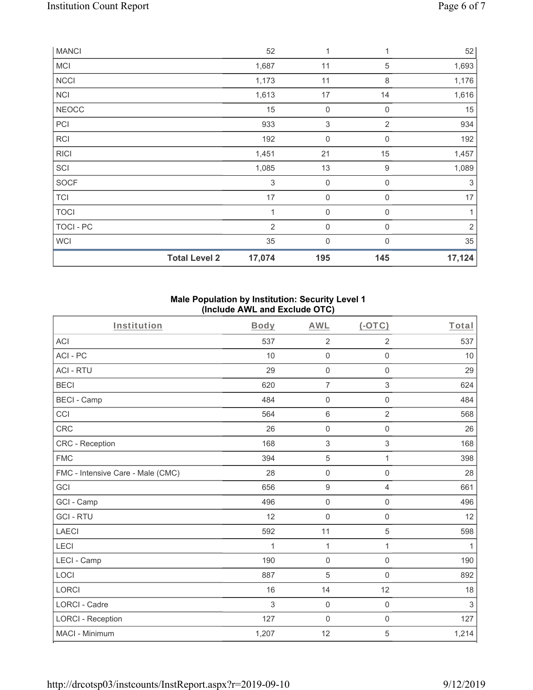| <b>MANCI</b> |                      | 52                        | 1                   |                  | 52             |
|--------------|----------------------|---------------------------|---------------------|------------------|----------------|
| <b>MCI</b>   |                      | 1,687                     | 11                  | 5                | 1,693          |
| <b>NCCI</b>  |                      | 1,173                     | 11                  | 8                | 1,176          |
| <b>NCI</b>   |                      | 1,613                     | 17                  | 14               | 1,616          |
| <b>NEOCC</b> |                      | 15                        | 0                   | 0                | 15             |
| PCI          |                      | 933                       | $\,$ 3 $\,$         | $\overline{2}$   | 934            |
| <b>RCI</b>   |                      | 192                       | $\mathsf{O}\xspace$ | $\mathbf 0$      | 192            |
| <b>RICI</b>  |                      | 1,451                     | 21                  | 15               | 1,457          |
| SCI          |                      | 1,085                     | 13                  | $\boldsymbol{9}$ | 1,089          |
| SOCF         |                      | $\ensuremath{\mathsf{3}}$ | $\boldsymbol{0}$    | $\mathbf 0$      | $\sqrt{3}$     |
| <b>TCI</b>   |                      | 17                        | $\boldsymbol{0}$    | $\mathbf 0$      | 17             |
| <b>TOCI</b>  |                      | 1                         | $\boldsymbol{0}$    | $\mathbf 0$      | 1              |
| TOCI - PC    |                      | $\overline{2}$            | $\boldsymbol{0}$    | $\mathbf 0$      | $\overline{2}$ |
| <b>WCI</b>   |                      | 35                        | $\mathbf{0}$        | $\Omega$         | 35             |
|              | <b>Total Level 2</b> | 17,074                    | 195                 | 145              | 17,124         |

#### **Male Population by Institution: Security Level 1 (Include AWL and Exclude OTC)**

| Institution                       | <b>Body</b> | <b>AWL</b>                | $(-OTC)$            | Total |
|-----------------------------------|-------------|---------------------------|---------------------|-------|
| <b>ACI</b>                        | 537         | $\overline{2}$            | $\overline{2}$      | 537   |
| ACI-PC                            | 10          | 0                         | $\mathbf 0$         | 10    |
| <b>ACI - RTU</b>                  | 29          | $\mathbf 0$               | $\mathsf{O}\xspace$ | 29    |
| <b>BECI</b>                       | 620         | $\overline{7}$            | 3                   | 624   |
| <b>BECI - Camp</b>                | 484         | $\mathsf 0$               | $\mathsf{O}\xspace$ | 484   |
| CCI                               | 564         | 6                         | $\overline{2}$      | 568   |
| <b>CRC</b>                        | 26          | $\mathsf{O}\xspace$       | $\mathbf 0$         | 26    |
| CRC - Reception                   | 168         | $\ensuremath{\mathsf{3}}$ | $\,$ 3 $\,$         | 168   |
| <b>FMC</b>                        | 394         | 5                         | $\mathbf{1}$        | 398   |
| FMC - Intensive Care - Male (CMC) | 28          | $\mathsf{O}\xspace$       | $\mathbf 0$         | 28    |
| GCI                               | 656         | $\boldsymbol{9}$          | $\overline{4}$      | 661   |
| GCI - Camp                        | 496         | 0                         | $\mathbf 0$         | 496   |
| <b>GCI-RTU</b>                    | 12          | $\mathbf 0$               | $\mathbf 0$         | 12    |
| <b>LAECI</b>                      | 592         | 11                        | 5                   | 598   |
| LECI                              | 1           | 1                         | $\mathbf{1}$        | 1     |
| LECI - Camp                       | 190         | 0                         | $\mathbf 0$         | 190   |
| LOCI                              | 887         | 5                         | $\mathsf{O}\xspace$ | 892   |
| <b>LORCI</b>                      | 16          | 14                        | 12                  | 18    |
| <b>LORCI - Cadre</b>              | 3           | $\mathbf 0$               | $\mathbf 0$         | 3     |
| <b>LORCI - Reception</b>          | 127         | 0                         | $\mathbf 0$         | 127   |
| MACI - Minimum                    | 1,207       | 12                        | 5                   | 1,214 |